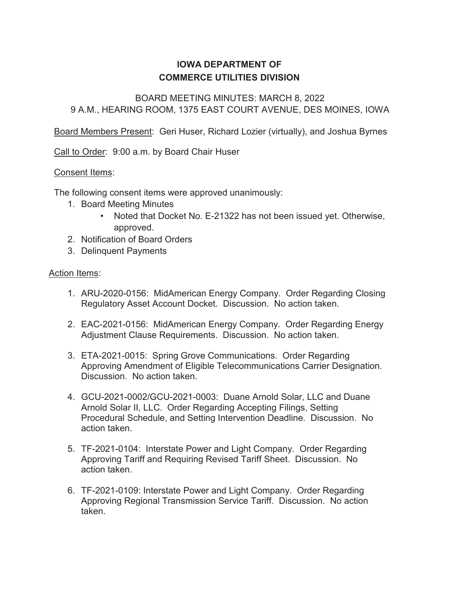## **IOWA DEPARTMENT OF COMMERCE UTILITIES DIVISION**

### BOARD MEETING MINUTES: MARCH 8, 2022 9 A.M., HEARING ROOM, 1375 EAST COURT AVENUE, DES MOINES, IOWA

Board Members Present: Geri Huser, Richard Lozier (virtually), and Joshua Byrnes

Call to Order: 9:00 a.m. by Board Chair Huser

#### Consent Items:

The following consent items were approved unanimously:

- 1. Board Meeting Minutes
	- Noted that Docket No. E-21322 has not been issued yet. Otherwise, approved.
- 2. Notification of Board Orders
- 3. Delinquent Payments

#### Action Items:

- 1. ARU-2020-0156: MidAmerican Energy Company. Order Regarding Closing Regulatory Asset Account Docket. Discussion. No action taken.
- 2. EAC-2021-0156: MidAmerican Energy Company. Order Regarding Energy Adjustment Clause Requirements. Discussion. No action taken.
- 3. ETA-2021-0015: Spring Grove Communications. Order Regarding Approving Amendment of Eligible Telecommunications Carrier Designation. Discussion. No action taken.
- 4. GCU-2021-0002/GCU-2021-0003: Duane Arnold Solar, LLC and Duane Arnold Solar II, LLC. Order Regarding Accepting Filings, Setting Procedural Schedule, and Setting Intervention Deadline. Discussion. No action taken.
- 5. TF-2021-0104: Interstate Power and Light Company. Order Regarding Approving Tariff and Requiring Revised Tariff Sheet. Discussion. No action taken.
- 6. TF-2021-0109: Interstate Power and Light Company. Order Regarding Approving Regional Transmission Service Tariff. Discussion. No action taken.